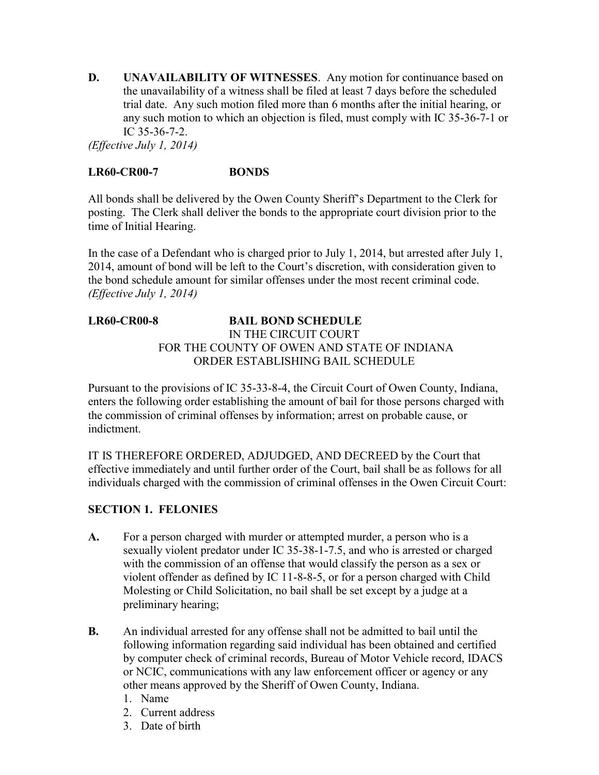**D. UNAVAILABILITY OF WITNESSES**. Any motion for continuance based on the unavailability of a witness shall be filed at least 7 days before the scheduled trial date. Any such motion filed more than 6 months after the initial hearing, or any such motion to which an objection is filed, must comply with IC 35-36-7-1 or IC 35-36-7-2.

*(Effective July 1, 2014)*

### **LR60-CR00-7 BONDS**

All bonds shall be delivered by the Owen County Sheriff's Department to the Clerk for posting. The Clerk shall deliver the bonds to the appropriate court division prior to the time of Initial Hearing.

In the case of a Defendant who is charged prior to July 1, 2014, but arrested after July 1, 2014, amount of bond will be left to the Court's discretion, with consideration given to the bond schedule amount for similar offenses under the most recent criminal code. *(Effective July 1, 2014)*

### **LR60-CR00-8 BAIL BOND SCHEDULE** IN THE CIRCUIT COURT FOR THE COUNTY OF OWEN AND STATE OF INDIANA ORDER ESTABLISHING BAIL SCHEDULE

Pursuant to the provisions of IC 35-33-8-4, the Circuit Court of Owen County, Indiana, enters the following order establishing the amount of bail for those persons charged with the commission of criminal offenses by information; arrest on probable cause, or indictment.

IT IS THEREFORE ORDERED, ADJUDGED, AND DECREED by the Court that effective immediately and until further order of the Court, bail shall be as follows for all individuals charged with the commission of criminal offenses in the Owen Circuit Court:

## **SECTION 1. FELONIES**

- **A.** For a person charged with murder or attempted murder, a person who is a sexually violent predator under IC 35-38-1-7.5, and who is arrested or charged with the commission of an offense that would classify the person as a sex or violent offender as defined by IC 11-8-8-5, or for a person charged with Child Molesting or Child Solicitation, no bail shall be set except by a judge at a preliminary hearing;
- **B.** An individual arrested for any offense shall not be admitted to bail until the following information regarding said individual has been obtained and certified by computer check of criminal records, Bureau of Motor Vehicle record, IDACS or NCIC, communications with any law enforcement officer or agency or any other means approved by the Sheriff of Owen County, Indiana.
	- 1. Name
	- 2. Current address
	- 3. Date of birth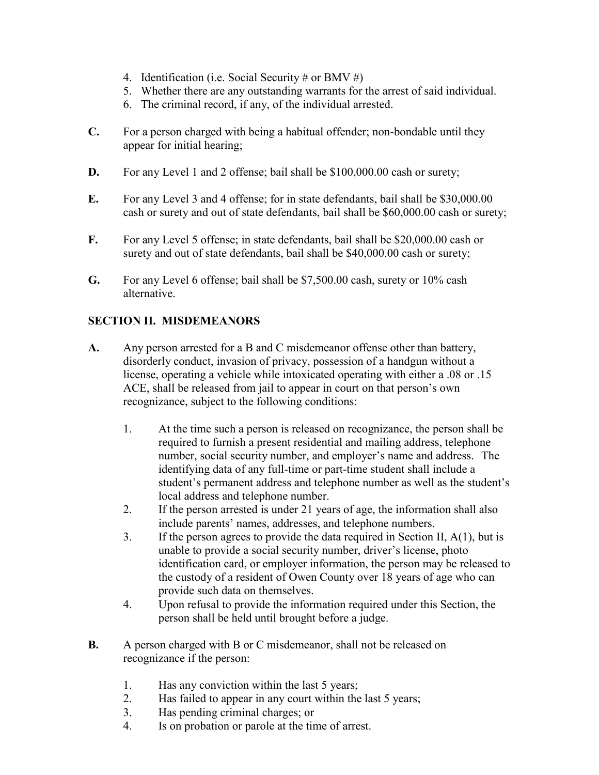- 4. Identification (i.e. Social Security # or BMV #)
- 5. Whether there are any outstanding warrants for the arrest of said individual.
- 6. The criminal record, if any, of the individual arrested.
- **C.** For a person charged with being a habitual offender; non-bondable until they appear for initial hearing;
- **D.** For any Level 1 and 2 offense; bail shall be \$100,000.00 cash or surety;
- **E.** For any Level 3 and 4 offense; for in state defendants, bail shall be \$30,000.00 cash or surety and out of state defendants, bail shall be \$60,000.00 cash or surety;
- **F.** For any Level 5 offense; in state defendants, bail shall be \$20,000.00 cash or surety and out of state defendants, bail shall be \$40,000.00 cash or surety;
- **G.** For any Level 6 offense; bail shall be \$7,500.00 cash, surety or 10% cash alternative.

# **SECTION II. MISDEMEANORS**

- **A.** Any person arrested for a B and C misdemeanor offense other than battery, disorderly conduct, invasion of privacy, possession of a handgun without a license, operating a vehicle while intoxicated operating with either a .08 or .15 ACE, shall be released from jail to appear in court on that person's own recognizance, subject to the following conditions:
	- 1. At the time such a person is released on recognizance, the person shall be required to furnish a present residential and mailing address, telephone number, social security number, and employer's name and address. The identifying data of any full-time or part-time student shall include a student's permanent address and telephone number as well as the student's local address and telephone number.
	- 2. If the person arrested is under 21 years of age, the information shall also include parents' names, addresses, and telephone numbers.
	- 3. If the person agrees to provide the data required in Section II, A(1), but is unable to provide a social security number, driver's license, photo identification card, or employer information, the person may be released to the custody of a resident of Owen County over 18 years of age who can provide such data on themselves.
	- 4. Upon refusal to provide the information required under this Section, the person shall be held until brought before a judge.
- **B.** A person charged with B or C misdemeanor, shall not be released on recognizance if the person:
	- 1. Has any conviction within the last 5 years;
	- 2. Has failed to appear in any court within the last 5 years;
	- 3. Has pending criminal charges; or
	- 4. Is on probation or parole at the time of arrest.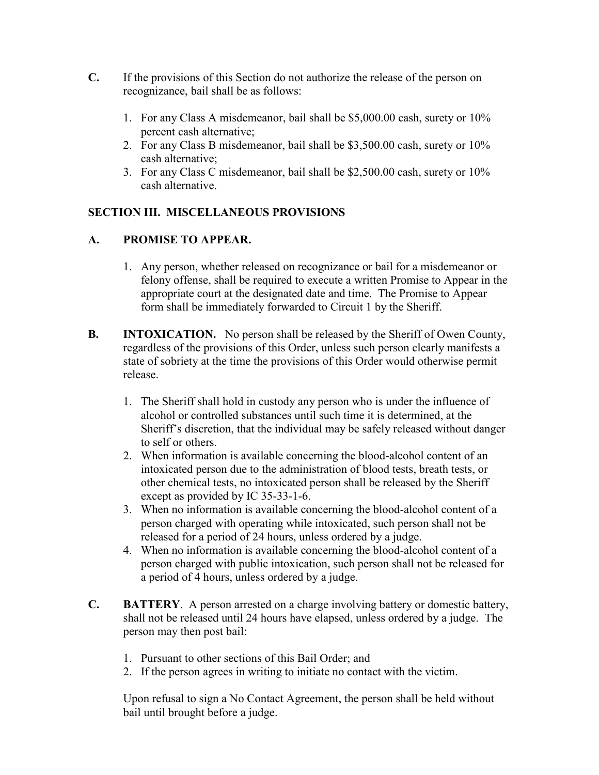- **C.** If the provisions of this Section do not authorize the release of the person on recognizance, bail shall be as follows:
	- 1. For any Class A misdemeanor, bail shall be \$5,000.00 cash, surety or 10% percent cash alternative;
	- 2. For any Class B misdemeanor, bail shall be \$3,500.00 cash, surety or 10% cash alternative;
	- 3. For any Class C misdemeanor, bail shall be \$2,500.00 cash, surety or 10% cash alternative.

## **SECTION III. MISCELLANEOUS PROVISIONS**

## **A. PROMISE TO APPEAR.**

- 1. Any person, whether released on recognizance or bail for a misdemeanor or felony offense, shall be required to execute a written Promise to Appear in the appropriate court at the designated date and time. The Promise to Appear form shall be immediately forwarded to Circuit 1 by the Sheriff.
- **B. INTOXICATION.** No person shall be released by the Sheriff of Owen County, regardless of the provisions of this Order, unless such person clearly manifests a state of sobriety at the time the provisions of this Order would otherwise permit release.
	- 1. The Sheriff shall hold in custody any person who is under the influence of alcohol or controlled substances until such time it is determined, at the Sheriff's discretion, that the individual may be safely released without danger to self or others.
	- 2. When information is available concerning the blood-alcohol content of an intoxicated person due to the administration of blood tests, breath tests, or other chemical tests, no intoxicated person shall be released by the Sheriff except as provided by IC 35-33-1-6.
	- 3. When no information is available concerning the blood-alcohol content of a person charged with operating while intoxicated, such person shall not be released for a period of 24 hours, unless ordered by a judge.
	- 4. When no information is available concerning the blood-alcohol content of a person charged with public intoxication, such person shall not be released for a period of 4 hours, unless ordered by a judge.
- **C. BATTERY**. A person arrested on a charge involving battery or domestic battery, shall not be released until 24 hours have elapsed, unless ordered by a judge. The person may then post bail:
	- 1. Pursuant to other sections of this Bail Order; and
	- 2. If the person agrees in writing to initiate no contact with the victim.

Upon refusal to sign a No Contact Agreement, the person shall be held without bail until brought before a judge.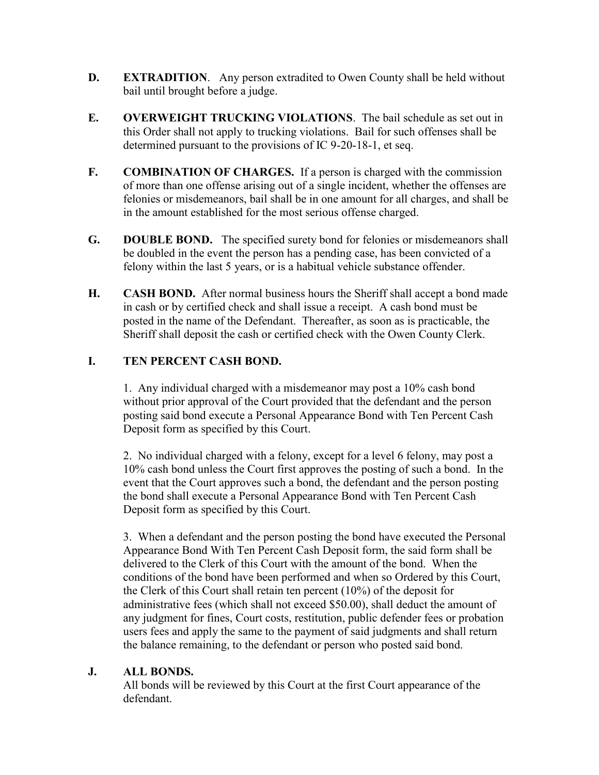- **D. EXTRADITION**. Any person extradited to Owen County shall be held without bail until brought before a judge.
- **E. OVERWEIGHT TRUCKING VIOLATIONS**. The bail schedule as set out in this Order shall not apply to trucking violations. Bail for such offenses shall be determined pursuant to the provisions of IC 9-20-18-1, et seq.
- **F. COMBINATION OF CHARGES.** If a person is charged with the commission of more than one offense arising out of a single incident, whether the offenses are felonies or misdemeanors, bail shall be in one amount for all charges, and shall be in the amount established for the most serious offense charged.
- **G. DOUBLE BOND.** The specified surety bond for felonies or misdemeanors shall be doubled in the event the person has a pending case, has been convicted of a felony within the last 5 years, or is a habitual vehicle substance offender.
- **H. CASH BOND.** After normal business hours the Sheriff shall accept a bond made in cash or by certified check and shall issue a receipt. A cash bond must be posted in the name of the Defendant. Thereafter, as soon as is practicable, the Sheriff shall deposit the cash or certified check with the Owen County Clerk.

## **I. TEN PERCENT CASH BOND.**

1. Any individual charged with a misdemeanor may post a 10% cash bond without prior approval of the Court provided that the defendant and the person posting said bond execute a Personal Appearance Bond with Ten Percent Cash Deposit form as specified by this Court.

2. No individual charged with a felony, except for a level 6 felony, may post a 10% cash bond unless the Court first approves the posting of such a bond. In the event that the Court approves such a bond, the defendant and the person posting the bond shall execute a Personal Appearance Bond with Ten Percent Cash Deposit form as specified by this Court.

3. When a defendant and the person posting the bond have executed the Personal Appearance Bond With Ten Percent Cash Deposit form, the said form shall be delivered to the Clerk of this Court with the amount of the bond. When the conditions of the bond have been performed and when so Ordered by this Court, the Clerk of this Court shall retain ten percent (10%) of the deposit for administrative fees (which shall not exceed \$50.00), shall deduct the amount of any judgment for fines, Court costs, restitution, public defender fees or probation users fees and apply the same to the payment of said judgments and shall return the balance remaining, to the defendant or person who posted said bond.

#### **J. ALL BONDS.**

All bonds will be reviewed by this Court at the first Court appearance of the defendant.